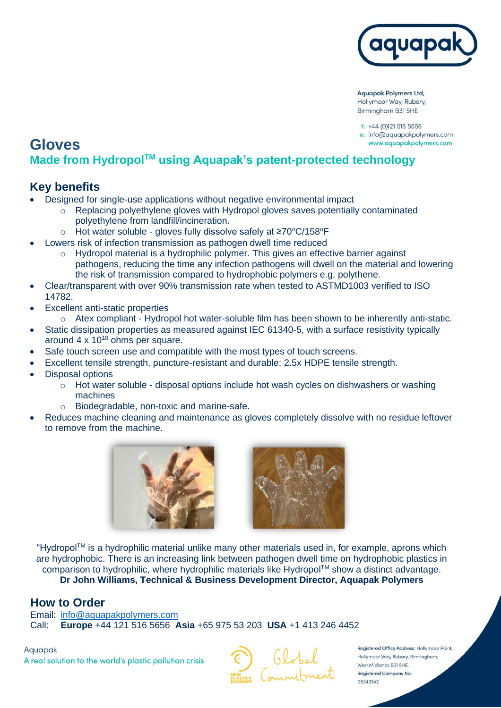

**Aquapak Polymers Ltd,** Hollymoor Way, Rubery, Birmingham B31 5HE

 $t$ : +44 (0)121 516 5656 e: info@aquapakpolymers.com www.aquapakpolymers.com

# **Gloves Made from HydropolTM using Aquapak's patent-protected technology**

#### **Key benefits**

- Designed for single-use applications without negative environmental impact
	- $\circ$  Replacing polyethylene gloves with Hydropol gloves saves potentially contaminated polyethylene from landfill/incineration.
	- o Hot water soluble gloves fully dissolve safely at ≥70°C/158°F
- Lowers risk of infection transmission as pathogen dwell time reduced
	- o Hydropol material is a hydrophilic polymer. This gives an effective barrier against pathogens, reducing the time any infection pathogens will dwell on the material and lowering the risk of transmission compared to hydrophobic polymers e.g. polythene.
- Clear/transparent with over 90% transmission rate when tested to ASTMD1003 verified to ISO 14782.
- **Excellent anti-static properties** 
	- $\circ$  Atex compliant Hydropol hot water-soluble film has been shown to be inherently anti-static.
- Static dissipation properties as measured against IEC 61340-5, with a surface resistivity typically around  $4 \times 10^{10}$  ohms per square.
- Safe touch screen use and compatible with the most types of touch screens.
- Excellent tensile strength, puncture-resistant and durable; 2.5x HDPE tensile strength.
- Disposal options
	- $\circ$  Hot water soluble disposal options include hot wash cycles on dishwashers or washing machines
	- o Biodegradable, non-toxic and marine-safe.
- Reduces machine cleaning and maintenance as gloves completely dissolve with no residue leftover to remove from the machine.





"HydropolTM is a hydrophilic material unlike many other materials used in, for example, aprons which are hydrophobic. There is an increasing link between pathogen dwell time on hydrophobic plastics in comparison to hydrophilic, where hydrophilic materials like Hydropol™ show a distinct advantage. **Dr John Williams, Technical & Business Development Director, Aquapak Polymers** 

#### **How to Order**

Email: [info@aquapakpolymers.com](mailto:info@aquapakpolymers.com) Call: **Europe** +44 121 516 5656 **Asia** +65 975 53 203 **USA** +1 413 246 4452

Aquapak A real solution to the world's plastic pollution crisis



Registered Office Address: Hollymoor Point, Hollymoor Way, Rubery, Birmingham, West Midlands B31 5HE. **Registered Company No:** 05343342